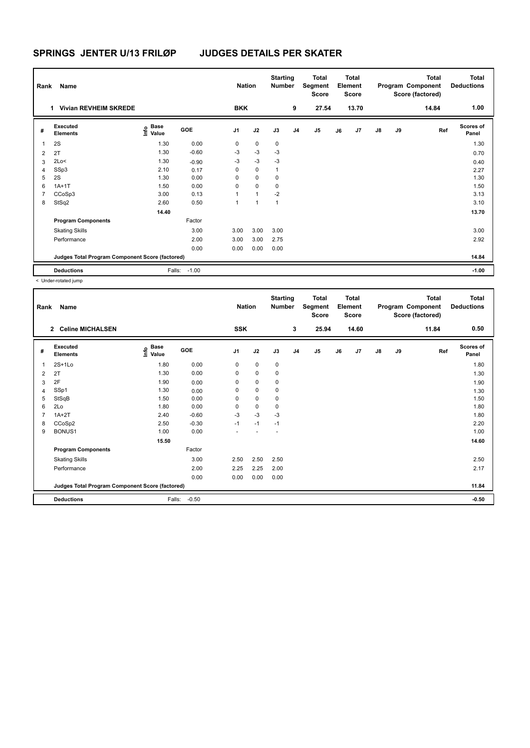# **SPRINGS JENTER U/13 FRILØP JUDGES DETAILS PER SKATER**

| Rank           | Name                                            |                                  |         | <b>Nation</b>  |              | <b>Starting</b><br><b>Number</b> |                | <b>Total</b><br>Segment<br><b>Score</b> |    | <b>Total</b><br>Element<br><b>Score</b> |    |    | <b>Total</b><br>Program Component<br>Score (factored) | <b>Total</b><br><b>Deductions</b> |
|----------------|-------------------------------------------------|----------------------------------|---------|----------------|--------------|----------------------------------|----------------|-----------------------------------------|----|-----------------------------------------|----|----|-------------------------------------------------------|-----------------------------------|
|                | <b>Vivian REVHEIM SKREDE</b><br>1.              |                                  |         | <b>BKK</b>     |              |                                  | 9              | 27.54                                   |    | 13.70                                   |    |    | 14.84                                                 | 1.00                              |
| #              | Executed<br><b>Elements</b>                     | <b>Base</b><br>o Base<br>⊆ Value | GOE     | J <sub>1</sub> | J2           | J3                               | J <sub>4</sub> | J <sub>5</sub>                          | J6 | J7                                      | J8 | J9 | Ref                                                   | <b>Scores of</b><br>Panel         |
| 1              | 2S                                              | 1.30                             | 0.00    | 0              | 0            | 0                                |                |                                         |    |                                         |    |    |                                                       | 1.30                              |
| 2              | 2T                                              | 1.30                             | $-0.60$ | $-3$           | $-3$         | -3                               |                |                                         |    |                                         |    |    |                                                       | 0.70                              |
| 3              | 2Lo<                                            | 1.30                             | $-0.90$ | $-3$           | $-3$         | $-3$                             |                |                                         |    |                                         |    |    |                                                       | 0.40                              |
| $\overline{4}$ | SSp3                                            | 2.10                             | 0.17    | 0              | 0            | 1                                |                |                                         |    |                                         |    |    |                                                       | 2.27                              |
| 5              | 2S                                              | 1.30                             | 0.00    | 0              | $\mathbf 0$  | 0                                |                |                                         |    |                                         |    |    |                                                       | 1.30                              |
| 6              | $1A+1T$                                         | 1.50                             | 0.00    | 0              | $\mathbf 0$  | 0                                |                |                                         |    |                                         |    |    |                                                       | 1.50                              |
| 7              | CCoSp3                                          | 3.00                             | 0.13    | 1              | $\mathbf{1}$ | $-2$                             |                |                                         |    |                                         |    |    |                                                       | 3.13                              |
| 8              | StSq2                                           | 2.60                             | 0.50    | 1              | 1            | $\mathbf{1}$                     |                |                                         |    |                                         |    |    |                                                       | 3.10                              |
|                |                                                 | 14.40                            |         |                |              |                                  |                |                                         |    |                                         |    |    |                                                       | 13.70                             |
|                | <b>Program Components</b>                       |                                  | Factor  |                |              |                                  |                |                                         |    |                                         |    |    |                                                       |                                   |
|                | <b>Skating Skills</b>                           |                                  | 3.00    | 3.00           | 3.00         | 3.00                             |                |                                         |    |                                         |    |    |                                                       | 3.00                              |
|                | Performance                                     |                                  | 2.00    | 3.00           | 3.00         | 2.75                             |                |                                         |    |                                         |    |    |                                                       | 2.92                              |
|                |                                                 |                                  | 0.00    | 0.00           | 0.00         | 0.00                             |                |                                         |    |                                         |    |    |                                                       |                                   |
|                | Judges Total Program Component Score (factored) |                                  |         |                |              |                                  |                |                                         |    |                                         |    |    |                                                       | 14.84                             |
|                | <b>Deductions</b>                               | Falls:                           | $-1.00$ |                |              |                                  |                |                                         |    |                                         |    |    |                                                       | $-1.00$                           |

< Under-rotated jump

| Rank           | Name                                            |                                       |         | <b>Nation</b>            |             | <b>Starting</b><br><b>Number</b> |                | <b>Total</b><br>Segment<br><b>Score</b> |    | <b>Total</b><br>Element<br><b>Score</b> |    |    | <b>Total</b><br>Program Component<br>Score (factored) | <b>Total</b><br><b>Deductions</b> |
|----------------|-------------------------------------------------|---------------------------------------|---------|--------------------------|-------------|----------------------------------|----------------|-----------------------------------------|----|-----------------------------------------|----|----|-------------------------------------------------------|-----------------------------------|
|                | 2 Celine MICHALSEN                              |                                       |         | <b>SSK</b>               |             |                                  | 3              | 25.94                                   |    | 14.60                                   |    |    | 11.84                                                 | 0.50                              |
| #              | Executed<br><b>Elements</b>                     | $\overset{\circ}{\text{\sf E}}$ Value | GOE     | J <sub>1</sub>           | J2          | J3                               | J <sub>4</sub> | J5                                      | J6 | J7                                      | J8 | J9 | Ref                                                   | <b>Scores of</b><br>Panel         |
| 1              | $2S+1L0$                                        | 1.80                                  | 0.00    | 0                        | 0           | $\mathbf 0$                      |                |                                         |    |                                         |    |    |                                                       | 1.80                              |
| 2              | 2T                                              | 1.30                                  | 0.00    | 0                        | $\mathbf 0$ | 0                                |                |                                         |    |                                         |    |    |                                                       | 1.30                              |
| 3              | 2F                                              | 1.90                                  | 0.00    | $\Omega$                 | 0           | 0                                |                |                                         |    |                                         |    |    |                                                       | 1.90                              |
| 4              | SSp1                                            | 1.30                                  | 0.00    | 0                        | $\mathbf 0$ | $\mathbf 0$                      |                |                                         |    |                                         |    |    |                                                       | 1.30                              |
| 5              | StSqB                                           | 1.50                                  | 0.00    | 0                        | $\mathbf 0$ | 0                                |                |                                         |    |                                         |    |    |                                                       | 1.50                              |
| 6              | 2Lo                                             | 1.80                                  | 0.00    | 0                        | $\pmb{0}$   | 0                                |                |                                         |    |                                         |    |    |                                                       | 1.80                              |
| $\overline{7}$ | $1A+2T$                                         | 2.40                                  | $-0.60$ | $-3$                     | $-3$        | $-3$                             |                |                                         |    |                                         |    |    |                                                       | 1.80                              |
| 8              | CCoSp2                                          | 2.50                                  | $-0.30$ | $-1$                     | $-1$        | $-1$                             |                |                                         |    |                                         |    |    |                                                       | 2.20                              |
| 9              | BONUS1                                          | 1.00                                  | 0.00    | $\overline{\phantom{a}}$ |             | $\overline{\phantom{a}}$         |                |                                         |    |                                         |    |    |                                                       | 1.00                              |
|                |                                                 | 15.50                                 |         |                          |             |                                  |                |                                         |    |                                         |    |    |                                                       | 14.60                             |
|                | <b>Program Components</b>                       |                                       | Factor  |                          |             |                                  |                |                                         |    |                                         |    |    |                                                       |                                   |
|                | <b>Skating Skills</b>                           |                                       | 3.00    | 2.50                     | 2.50        | 2.50                             |                |                                         |    |                                         |    |    |                                                       | 2.50                              |
|                | Performance                                     |                                       | 2.00    | 2.25                     | 2.25        | 2.00                             |                |                                         |    |                                         |    |    |                                                       | 2.17                              |
|                |                                                 |                                       | 0.00    | 0.00                     | 0.00        | 0.00                             |                |                                         |    |                                         |    |    |                                                       |                                   |
|                | Judges Total Program Component Score (factored) |                                       |         |                          |             |                                  |                |                                         |    |                                         |    |    |                                                       | 11.84                             |
|                | <b>Deductions</b>                               | Falls:                                | $-0.50$ |                          |             |                                  |                |                                         |    |                                         |    |    |                                                       | $-0.50$                           |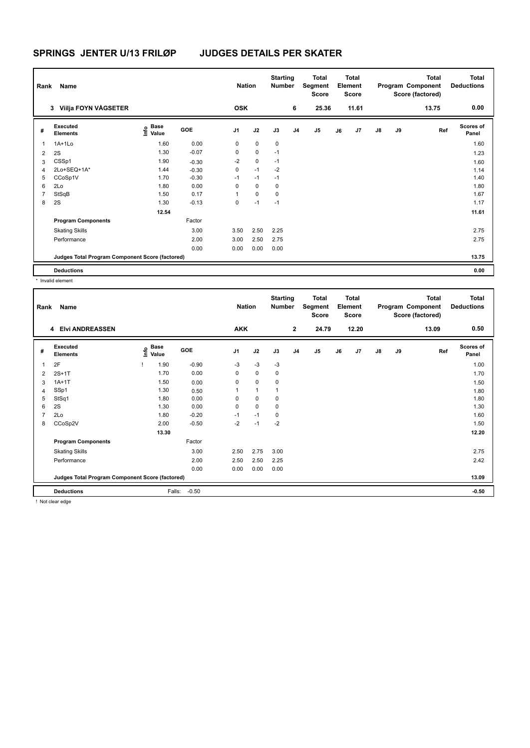| Rank           | Name                                            |                           |         | <b>Nation</b>  |             | <b>Starting</b><br><b>Number</b> |                | Total<br>Segment<br><b>Score</b> |    | <b>Total</b><br>Element<br><b>Score</b> |               |    | <b>Total</b><br>Program Component<br>Score (factored) | <b>Total</b><br><b>Deductions</b> |
|----------------|-------------------------------------------------|---------------------------|---------|----------------|-------------|----------------------------------|----------------|----------------------------------|----|-----------------------------------------|---------------|----|-------------------------------------------------------|-----------------------------------|
|                | <b>Viilja FOYN VÅGSETER</b><br>3                |                           |         | <b>OSK</b>     |             |                                  | 6              | 25.36                            |    | 11.61                                   |               |    | 13.75                                                 | 0.00                              |
| #              | Executed<br><b>Elements</b>                     | Base<br>o Base<br>⊆ Value | GOE     | J <sub>1</sub> | J2          | J3                               | J <sub>4</sub> | J <sub>5</sub>                   | J6 | J7                                      | $\mathsf{J}8$ | J9 | Ref                                                   | <b>Scores of</b><br>Panel         |
| $\mathbf{1}$   | $1A+1L0$                                        | 1.60                      | 0.00    | 0              | 0           | 0                                |                |                                  |    |                                         |               |    |                                                       | 1.60                              |
| 2              | 2S                                              | 1.30                      | $-0.07$ | 0              | 0           | $-1$                             |                |                                  |    |                                         |               |    |                                                       | 1.23                              |
| 3              | CSSp1                                           | 1.90                      | $-0.30$ | $-2$           | $\mathbf 0$ | $-1$                             |                |                                  |    |                                         |               |    |                                                       | 1.60                              |
| $\overline{4}$ | 2Lo+SEQ+1A*                                     | 1.44                      | $-0.30$ | 0              | $-1$        | $-2$                             |                |                                  |    |                                         |               |    |                                                       | 1.14                              |
| 5              | CCoSp1V                                         | 1.70                      | $-0.30$ | $-1$           | $-1$        | $-1$                             |                |                                  |    |                                         |               |    |                                                       | 1.40                              |
| 6              | 2Lo                                             | 1.80                      | 0.00    | 0              | $\mathbf 0$ | 0                                |                |                                  |    |                                         |               |    |                                                       | 1.80                              |
| 7              | StSqB                                           | 1.50                      | 0.17    | 1              | $\mathbf 0$ | $\mathbf 0$                      |                |                                  |    |                                         |               |    |                                                       | 1.67                              |
| 8              | 2S                                              | 1.30                      | $-0.13$ | 0              | $-1$        | $-1$                             |                |                                  |    |                                         |               |    |                                                       | 1.17                              |
|                |                                                 | 12.54                     |         |                |             |                                  |                |                                  |    |                                         |               |    |                                                       | 11.61                             |
|                | <b>Program Components</b>                       |                           | Factor  |                |             |                                  |                |                                  |    |                                         |               |    |                                                       |                                   |
|                | <b>Skating Skills</b>                           |                           | 3.00    | 3.50           | 2.50        | 2.25                             |                |                                  |    |                                         |               |    |                                                       | 2.75                              |
|                | Performance                                     |                           | 2.00    | 3.00           | 2.50        | 2.75                             |                |                                  |    |                                         |               |    |                                                       | 2.75                              |
|                |                                                 |                           | 0.00    | 0.00           | 0.00        | 0.00                             |                |                                  |    |                                         |               |    |                                                       |                                   |
|                | Judges Total Program Component Score (factored) |                           |         |                |             |                                  |                |                                  |    |                                         |               |    |                                                       | 13.75                             |
|                | <b>Deductions</b>                               |                           |         |                |             |                                  |                |                                  |    |                                         |               |    |                                                       | 0.00                              |

\* Invalid element

| Rank | Name                                            |                                     |         |                | <b>Nation</b> | <b>Starting</b><br><b>Number</b> |                | <b>Total</b><br>Segment<br>Score |    | <b>Total</b><br>Element<br>Score |               |    | <b>Total</b><br>Program Component<br>Score (factored) | <b>Total</b><br><b>Deductions</b> |
|------|-------------------------------------------------|-------------------------------------|---------|----------------|---------------|----------------------------------|----------------|----------------------------------|----|----------------------------------|---------------|----|-------------------------------------------------------|-----------------------------------|
|      | 4 Elvi ANDREASSEN                               |                                     |         | <b>AKK</b>     |               |                                  | $\mathbf{2}$   | 24.79                            |    | 12.20                            |               |    | 13.09                                                 | 0.50                              |
| #    | Executed<br><b>Elements</b>                     | $\sum_{k=1}^{\infty}$ Pase<br>Value | GOE     | J <sub>1</sub> | J2            | J3                               | J <sub>4</sub> | J5                               | J6 | J7                               | $\mathsf{J}8$ | J9 | Ref                                                   | <b>Scores of</b><br>Panel         |
| 1    | 2F                                              | 1.90                                | $-0.90$ | $-3$           | $-3$          | $-3$                             |                |                                  |    |                                  |               |    |                                                       | 1.00                              |
| 2    | $2S+1T$                                         | 1.70                                | 0.00    | 0              | 0             | 0                                |                |                                  |    |                                  |               |    |                                                       | 1.70                              |
| 3    | $1A+1T$                                         | 1.50                                | 0.00    | 0              | $\mathbf 0$   | 0                                |                |                                  |    |                                  |               |    |                                                       | 1.50                              |
| 4    | SSp1                                            | 1.30                                | 0.50    |                | $\mathbf{1}$  |                                  |                |                                  |    |                                  |               |    |                                                       | 1.80                              |
| 5    | StSq1                                           | 1.80                                | 0.00    | 0              | 0             | 0                                |                |                                  |    |                                  |               |    |                                                       | 1.80                              |
| 6    | 2S                                              | 1.30                                | 0.00    | 0              | $\mathbf 0$   | 0                                |                |                                  |    |                                  |               |    |                                                       | 1.30                              |
| 7    | 2Lo                                             | 1.80                                | $-0.20$ | $-1$           | $-1$          | 0                                |                |                                  |    |                                  |               |    |                                                       | 1.60                              |
| 8    | CCoSp2V                                         | 2.00                                | $-0.50$ | $-2$           | $-1$          | $-2$                             |                |                                  |    |                                  |               |    |                                                       | 1.50                              |
|      |                                                 | 13.30                               |         |                |               |                                  |                |                                  |    |                                  |               |    |                                                       | 12.20                             |
|      | <b>Program Components</b>                       |                                     | Factor  |                |               |                                  |                |                                  |    |                                  |               |    |                                                       |                                   |
|      | <b>Skating Skills</b>                           |                                     | 3.00    | 2.50           | 2.75          | 3.00                             |                |                                  |    |                                  |               |    |                                                       | 2.75                              |
|      | Performance                                     |                                     | 2.00    | 2.50           | 2.50          | 2.25                             |                |                                  |    |                                  |               |    |                                                       | 2.42                              |
|      |                                                 |                                     | 0.00    | 0.00           | 0.00          | 0.00                             |                |                                  |    |                                  |               |    |                                                       |                                   |
|      | Judges Total Program Component Score (factored) |                                     |         |                |               |                                  |                |                                  |    |                                  |               |    |                                                       | 13.09                             |
|      | <b>Deductions</b>                               | Falls:                              | $-0.50$ |                |               |                                  |                |                                  |    |                                  |               |    |                                                       | $-0.50$                           |
|      | <b>I</b> Alak alaksa aslam                      |                                     |         |                |               |                                  |                |                                  |    |                                  |               |    |                                                       |                                   |

! Not clear edge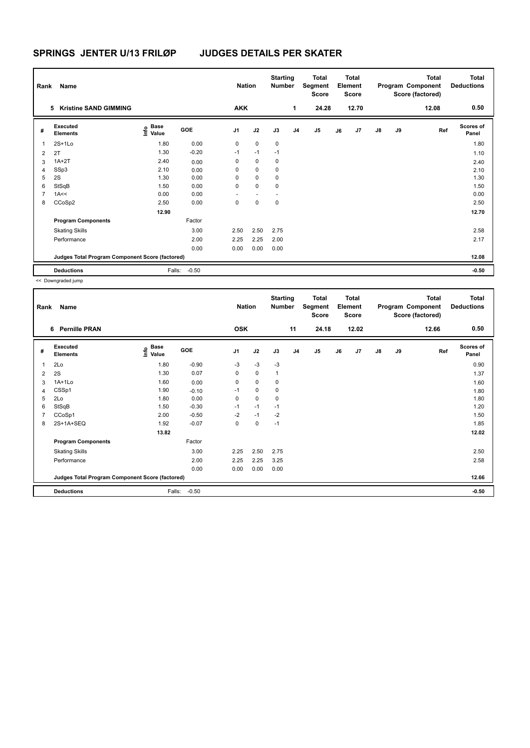| Rank           | Name                                            |                                  |         | <b>Nation</b>  |                          | <b>Starting</b><br><b>Number</b> |                | <b>Total</b><br>Segment<br><b>Score</b> |    | <b>Total</b><br>Element<br>Score |               |    | <b>Total</b><br>Program Component<br>Score (factored) | Total<br><b>Deductions</b> |
|----------------|-------------------------------------------------|----------------------------------|---------|----------------|--------------------------|----------------------------------|----------------|-----------------------------------------|----|----------------------------------|---------------|----|-------------------------------------------------------|----------------------------|
|                | <b>Kristine SAND GIMMING</b><br>5               |                                  |         | <b>AKK</b>     |                          |                                  | 1              | 24.28                                   |    | 12.70                            |               |    | 12.08                                                 | 0.50                       |
| #              | Executed<br><b>Elements</b>                     | <b>Base</b><br>o Base<br>⊆ Value | GOE     | J <sub>1</sub> | J2                       | J3                               | J <sub>4</sub> | J <sub>5</sub>                          | J6 | J7                               | $\mathsf{J}8$ | J9 | Ref                                                   | <b>Scores of</b><br>Panel  |
| $\mathbf{1}$   | $2S+1L0$                                        | 1.80                             | 0.00    | 0              | 0                        | 0                                |                |                                         |    |                                  |               |    |                                                       | 1.80                       |
| 2              | 2T                                              | 1.30                             | $-0.20$ | $-1$           | $-1$                     | $-1$                             |                |                                         |    |                                  |               |    |                                                       | 1.10                       |
| 3              | $1A+2T$                                         | 2.40                             | 0.00    | 0              | $\mathbf 0$              | 0                                |                |                                         |    |                                  |               |    |                                                       | 2.40                       |
| $\overline{4}$ | SSp3                                            | 2.10                             | 0.00    | 0              | $\mathbf 0$              | 0                                |                |                                         |    |                                  |               |    |                                                       | 2.10                       |
| 5              | 2S                                              | 1.30                             | 0.00    | 0              | $\mathbf 0$              | 0                                |                |                                         |    |                                  |               |    |                                                       | 1.30                       |
| 6              | StSqB                                           | 1.50                             | 0.00    | 0              | $\mathbf 0$              | 0                                |                |                                         |    |                                  |               |    |                                                       | 1.50                       |
| $\overline{7}$ | 1A<<                                            | 0.00                             | 0.00    | ٠              | $\overline{\phantom{a}}$ | $\overline{\phantom{a}}$         |                |                                         |    |                                  |               |    |                                                       | 0.00                       |
| 8              | CCoSp2                                          | 2.50                             | 0.00    | 0              | $\pmb{0}$                | 0                                |                |                                         |    |                                  |               |    |                                                       | 2.50                       |
|                |                                                 | 12.90                            |         |                |                          |                                  |                |                                         |    |                                  |               |    |                                                       | 12.70                      |
|                | <b>Program Components</b>                       |                                  | Factor  |                |                          |                                  |                |                                         |    |                                  |               |    |                                                       |                            |
|                | <b>Skating Skills</b>                           |                                  | 3.00    | 2.50           | 2.50                     | 2.75                             |                |                                         |    |                                  |               |    |                                                       | 2.58                       |
|                | Performance                                     |                                  | 2.00    | 2.25           | 2.25                     | 2.00                             |                |                                         |    |                                  |               |    |                                                       | 2.17                       |
|                |                                                 |                                  | 0.00    | 0.00           | 0.00                     | 0.00                             |                |                                         |    |                                  |               |    |                                                       |                            |
|                | Judges Total Program Component Score (factored) |                                  |         |                |                          |                                  |                |                                         |    |                                  |               |    |                                                       | 12.08                      |
|                | <b>Deductions</b>                               | Falls:                           | $-0.50$ |                |                          |                                  |                |                                         |    |                                  |               |    |                                                       | $-0.50$                    |

<< Downgraded jump

| Rank | Name                                            |                   |         | <b>Nation</b>  |             | <b>Starting</b><br><b>Number</b> |                | <b>Total</b><br>Segment<br>Score |    | <b>Total</b><br>Element<br><b>Score</b> |               |    | <b>Total</b><br>Program Component<br>Score (factored) | <b>Total</b><br><b>Deductions</b> |
|------|-------------------------------------------------|-------------------|---------|----------------|-------------|----------------------------------|----------------|----------------------------------|----|-----------------------------------------|---------------|----|-------------------------------------------------------|-----------------------------------|
|      | <b>Pernille PRAN</b><br>6                       |                   |         | <b>OSK</b>     |             |                                  | 11             | 24.18                            |    | 12.02                                   |               |    | 12.66                                                 | 0.50                              |
| #    | Executed<br><b>Elements</b>                     | e Base<br>E Value | GOE     | J <sub>1</sub> | J2          | J3                               | J <sub>4</sub> | J5                               | J6 | J7                                      | $\mathsf{J}8$ | J9 | Ref                                                   | Scores of<br>Panel                |
| 1    | 2Lo                                             | 1.80              | $-0.90$ | $-3$           | $-3$        | $-3$                             |                |                                  |    |                                         |               |    |                                                       | 0.90                              |
| 2    | 2S                                              | 1.30              | 0.07    | 0              | $\mathbf 0$ | $\mathbf{1}$                     |                |                                  |    |                                         |               |    |                                                       | 1.37                              |
| 3    | $1A+1L0$                                        | 1.60              | 0.00    | 0              | 0           | 0                                |                |                                  |    |                                         |               |    |                                                       | 1.60                              |
| 4    | CSSp1                                           | 1.90              | $-0.10$ | $-1$           | $\mathbf 0$ | 0                                |                |                                  |    |                                         |               |    |                                                       | 1.80                              |
| 5    | 2Lo                                             | 1.80              | 0.00    | 0              | $\mathbf 0$ | 0                                |                |                                  |    |                                         |               |    |                                                       | 1.80                              |
| 6    | StSqB                                           | 1.50              | $-0.30$ | $-1$           | $-1$        | $-1$                             |                |                                  |    |                                         |               |    |                                                       | 1.20                              |
| 7    | CCoSp1                                          | 2.00              | $-0.50$ | $-2$           | $-1$        | $-2$                             |                |                                  |    |                                         |               |    |                                                       | 1.50                              |
| 8    | 2S+1A+SEQ                                       | 1.92              | $-0.07$ | 0              | 0           | $-1$                             |                |                                  |    |                                         |               |    |                                                       | 1.85                              |
|      |                                                 | 13.82             |         |                |             |                                  |                |                                  |    |                                         |               |    |                                                       | 12.02                             |
|      | <b>Program Components</b>                       |                   | Factor  |                |             |                                  |                |                                  |    |                                         |               |    |                                                       |                                   |
|      | <b>Skating Skills</b>                           |                   | 3.00    | 2.25           | 2.50        | 2.75                             |                |                                  |    |                                         |               |    |                                                       | 2.50                              |
|      | Performance                                     |                   | 2.00    | 2.25           | 2.25        | 3.25                             |                |                                  |    |                                         |               |    |                                                       | 2.58                              |
|      |                                                 |                   | 0.00    | 0.00           | 0.00        | 0.00                             |                |                                  |    |                                         |               |    |                                                       |                                   |
|      | Judges Total Program Component Score (factored) |                   |         |                |             |                                  |                |                                  |    |                                         |               |    |                                                       | 12.66                             |
|      | <b>Deductions</b>                               | Falls:            | $-0.50$ |                |             |                                  |                |                                  |    |                                         |               |    |                                                       | $-0.50$                           |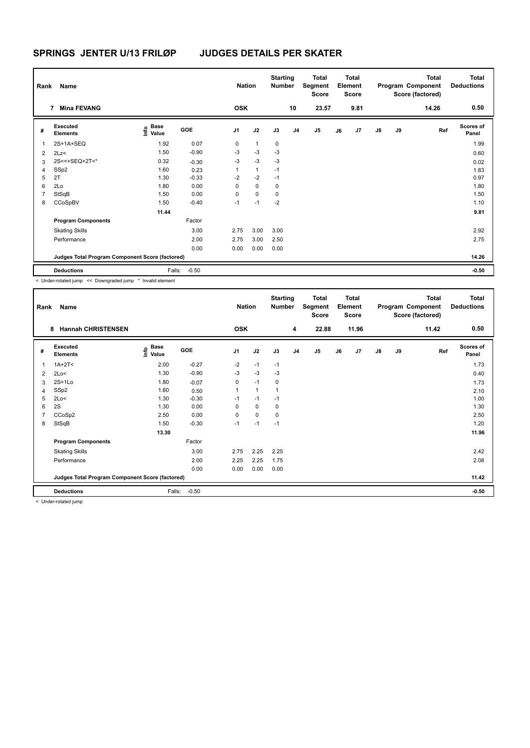| Rank         | Name                                            |                                  |         | <b>Nation</b>  |                | <b>Starting</b><br><b>Number</b> |                | <b>Total</b><br>Segment<br><b>Score</b> |    | <b>Total</b><br>Element<br><b>Score</b> |               |    | <b>Total</b><br>Program Component<br>Score (factored) | <b>Total</b><br><b>Deductions</b> |
|--------------|-------------------------------------------------|----------------------------------|---------|----------------|----------------|----------------------------------|----------------|-----------------------------------------|----|-----------------------------------------|---------------|----|-------------------------------------------------------|-----------------------------------|
|              | <b>Mina FEVANG</b><br>7                         |                                  |         | <b>OSK</b>     |                |                                  | 10             | 23.57                                   |    | 9.81                                    |               |    | 14.26                                                 | 0.50                              |
| #            | Executed<br><b>Elements</b>                     | <b>Base</b><br>o Base<br>⊆ Value | GOE     | J <sub>1</sub> | J2             | J3                               | J <sub>4</sub> | J <sub>5</sub>                          | J6 | J7                                      | $\mathsf{J}8$ | J9 | Ref                                                   | <b>Scores of</b><br>Panel         |
| $\mathbf{1}$ | 2S+1A+SEQ                                       | 1.92                             | 0.07    | 0              | $\overline{1}$ | 0                                |                |                                         |    |                                         |               |    |                                                       | 1.99                              |
| 2            | 2Lz<                                            | 1.50                             | $-0.90$ | -3             | $-3$           | $-3$                             |                |                                         |    |                                         |               |    |                                                       | 0.60                              |
| 3            | 2S<<+SEQ+2T<*                                   | 0.32                             | $-0.30$ | -3             | $-3$           | $-3$                             |                |                                         |    |                                         |               |    |                                                       | 0.02                              |
| 4            | SSp2                                            | 1.60                             | 0.23    | 1              | $\mathbf{1}$   | $-1$                             |                |                                         |    |                                         |               |    |                                                       | 1.83                              |
| 5            | 2T                                              | 1.30                             | $-0.33$ | $-2$           | $-2$           | $-1$                             |                |                                         |    |                                         |               |    |                                                       | 0.97                              |
| 6            | 2Lo                                             | 1.80                             | 0.00    | 0              | $\mathbf 0$    | 0                                |                |                                         |    |                                         |               |    |                                                       | 1.80                              |
| 7            | StSqB                                           | 1.50                             | 0.00    | 0              | $\mathbf 0$    | 0                                |                |                                         |    |                                         |               |    |                                                       | 1.50                              |
| 8            | CCoSpBV                                         | 1.50                             | $-0.40$ | $-1$           | $-1$           | $-2$                             |                |                                         |    |                                         |               |    |                                                       | 1.10                              |
|              |                                                 | 11.44                            |         |                |                |                                  |                |                                         |    |                                         |               |    |                                                       | 9.81                              |
|              | <b>Program Components</b>                       |                                  | Factor  |                |                |                                  |                |                                         |    |                                         |               |    |                                                       |                                   |
|              | <b>Skating Skills</b>                           |                                  | 3.00    | 2.75           | 3.00           | 3.00                             |                |                                         |    |                                         |               |    |                                                       | 2.92                              |
|              | Performance                                     |                                  | 2.00    | 2.75           | 3.00           | 2.50                             |                |                                         |    |                                         |               |    |                                                       | 2.75                              |
|              |                                                 |                                  | 0.00    | 0.00           | 0.00           | 0.00                             |                |                                         |    |                                         |               |    |                                                       |                                   |
|              | Judges Total Program Component Score (factored) |                                  |         |                |                |                                  |                |                                         |    |                                         |               |    |                                                       | 14.26                             |
|              | <b>Deductions</b>                               | Falls:                           | $-0.50$ |                |                |                                  |                |                                         |    |                                         |               |    |                                                       | $-0.50$                           |

< Under-rotated jump << Downgraded jump \* Invalid element

| Rank | Name                                            |                   |            | <b>Nation</b>  |              | <b>Starting</b><br><b>Number</b> |                | <b>Total</b><br>Segment<br><b>Score</b> |    | <b>Total</b><br>Element<br><b>Score</b> |               |    | <b>Total</b><br>Program Component<br>Score (factored) | <b>Total</b><br><b>Deductions</b> |
|------|-------------------------------------------------|-------------------|------------|----------------|--------------|----------------------------------|----------------|-----------------------------------------|----|-----------------------------------------|---------------|----|-------------------------------------------------------|-----------------------------------|
|      | <b>Hannah CHRISTENSEN</b><br>8                  |                   |            | <b>OSK</b>     |              |                                  | 4              | 22.88                                   |    | 11.96                                   |               |    | 11.42                                                 | 0.50                              |
| #    | Executed<br><b>Elements</b>                     | e Base<br>E Value | <b>GOE</b> | J <sub>1</sub> | J2           | J3                               | J <sub>4</sub> | J <sub>5</sub>                          | J6 | J7                                      | $\mathsf{J}8$ | J9 | Ref                                                   | Scores of<br>Panel                |
| 1    | $1A+2T2$                                        | 2.00              | $-0.27$    | $-2$           | $-1$         | $-1$                             |                |                                         |    |                                         |               |    |                                                       | 1.73                              |
| 2    | 2Lo<                                            | 1.30              | $-0.90$    | $-3$           | $-3$         | $-3$                             |                |                                         |    |                                         |               |    |                                                       | 0.40                              |
| 3    | $2S+1L0$                                        | 1.80              | $-0.07$    | 0              | $-1$         | 0                                |                |                                         |    |                                         |               |    |                                                       | 1.73                              |
| 4    | SSp2                                            | 1.60              | 0.50       |                | $\mathbf{1}$ |                                  |                |                                         |    |                                         |               |    |                                                       | 2.10                              |
| 5    | 2Lo<                                            | 1.30              | $-0.30$    | $-1$           | $-1$         | $-1$                             |                |                                         |    |                                         |               |    |                                                       | 1.00                              |
| 6    | 2S                                              | 1.30              | 0.00       | 0              | 0            | 0                                |                |                                         |    |                                         |               |    |                                                       | 1.30                              |
| 7    | CCoSp2                                          | 2.50              | 0.00       | $\Omega$       | 0            | 0                                |                |                                         |    |                                         |               |    |                                                       | 2.50                              |
| 8    | StSqB                                           | 1.50              | $-0.30$    | $-1$           | $-1$         | $-1$                             |                |                                         |    |                                         |               |    |                                                       | 1.20                              |
|      |                                                 | 13.30             |            |                |              |                                  |                |                                         |    |                                         |               |    |                                                       | 11.96                             |
|      | <b>Program Components</b>                       |                   | Factor     |                |              |                                  |                |                                         |    |                                         |               |    |                                                       |                                   |
|      | <b>Skating Skills</b>                           |                   | 3.00       | 2.75           | 2.25         | 2.25                             |                |                                         |    |                                         |               |    |                                                       | 2.42                              |
|      | Performance                                     |                   | 2.00       | 2.25           | 2.25         | 1.75                             |                |                                         |    |                                         |               |    |                                                       | 2.08                              |
|      |                                                 |                   | 0.00       | 0.00           | 0.00         | 0.00                             |                |                                         |    |                                         |               |    |                                                       |                                   |
|      | Judges Total Program Component Score (factored) |                   |            |                |              |                                  |                |                                         |    |                                         |               |    |                                                       | 11.42                             |
|      | <b>Deductions</b>                               | Falls:            | $-0.50$    |                |              |                                  |                |                                         |    |                                         |               |    |                                                       | $-0.50$                           |
|      | $\geq$ linder retated jump.                     |                   |            |                |              |                                  |                |                                         |    |                                         |               |    |                                                       |                                   |

< Under-rotated jump